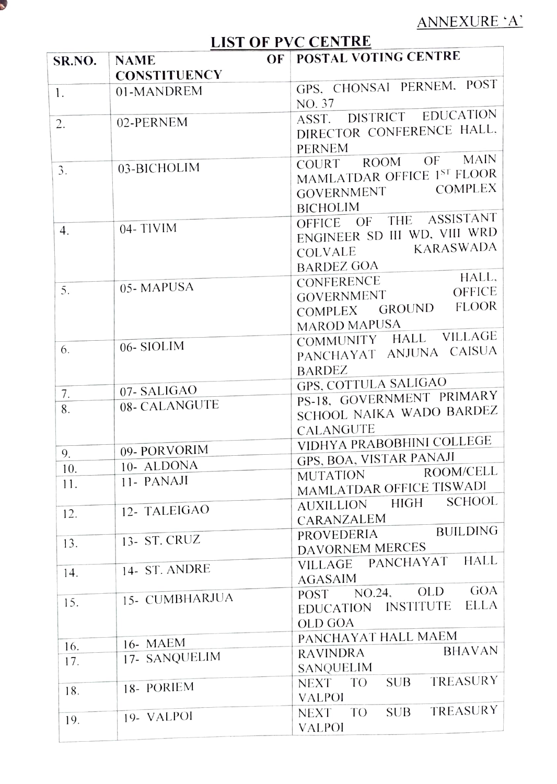

 $\blacktriangleright$ 

J.

ANNEXURE 'A'

## LIST OF PVC CENTRE

| SR.NO. | OF<br><b>NAME</b>          | POSTAL VOTING CENTRE                   |
|--------|----------------------------|----------------------------------------|
|        | <b>CONSTITUENCY</b>        |                                        |
| 1.     | 01-MANDREM                 | GPS, CHONSAI PERNEM, POST<br>NO. 37    |
|        |                            | DISTRICT EDUCATION<br>ASST.            |
| 2.     | 02-PERNEM                  | DIRECTOR CONFERENCE HALL.              |
|        |                            | <b>PERNEM</b>                          |
|        |                            | <b>MAIN</b><br>ROOM OF<br>COURT        |
| 3.     | 03-BICHOLIM                | MAMLATDAR OFFICE 1ST FLOOR             |
|        |                            | <b>COMPLEX</b><br><b>GOVERNMENT</b>    |
|        |                            | <b>BICHOLIM</b>                        |
|        |                            | OFFICE OF THE ASSISTANT                |
| 4.     | $04 - TIVIM$               | ENGINEER SD III WD, VIII WRD           |
|        |                            | <b>KARASWADA</b><br>COLVALE            |
|        |                            | <b>BARDEZ GOA</b>                      |
|        |                            | HALL,<br>CONFERENCE                    |
| 5.     | 05-MAPUSA                  | <b>OFFICE</b><br>GOVERNMENT            |
|        |                            | COMPLEX GROUND FLOOR                   |
|        |                            | <b>MAROD MAPUSA</b>                    |
|        |                            | COMMUNITY HALL VILLAGE                 |
| 6.     | 06-SIOLIM                  | PANCHAYAT ANJUNA CAISUA                |
|        |                            | BARDEZ                                 |
|        |                            | GPS, COTTULA SALIGAO                   |
| 7.     | 07-SALIGAO                 | PS-18, GOVERNMENT PRIMARY              |
| 8.     | 08- CALANGUTE              | SCHOOL NAIKA WADO BARDEZ               |
|        |                            | CALANGUTE                              |
|        |                            | VIDHYA PRABOBHINI COLLEGE              |
| 9.     | 09- PORVORIM<br>10- ALDONA | GPS, BOA, VISTAR PANAJI                |
| 10.    | 11- PANAJI                 | ROOM/CELL<br><b>MUTATION</b>           |
| 11.    |                            | MAMLATDAR OFFICE TISWADI               |
|        | 12- TALEIGAO               | <b>SCHOOL</b><br><b>AUXILLION HIGH</b> |
| 12.    |                            | CARANZALEM                             |
| 13.    | 13- ST. CRUZ               | <b>BUILDING</b><br><b>PROVEDERIA</b>   |
|        |                            | <b>DAVORNEM MERCES</b>                 |
| 14.    | 14- ST. ANDRE              | <b>HALL</b><br>VILLAGE PANCHAYAT       |
|        |                            | <b>AGASAIM</b>                         |
| 15.    | 15- CUMBHARJUA             | <b>GOA</b><br>OLD<br>POST NO.24,       |
|        |                            | ELLA<br>EDUCATION INSTITUTE            |
|        |                            | <b>OLD GOA</b>                         |
| 16.    | 16- MAEM                   | PANCHAYAT HALL MAEM                    |
| 17.    | 17- SANQUELIM              | <b>BHAVAN</b><br><b>RAVINDRA</b>       |
|        |                            | SANQUELIM                              |
| 18.    | 18- PORIEM                 | TREASURY<br>SUB<br>NEXT TO             |
|        |                            | <b>VALPOI</b>                          |
| 19.    | 19- VALPOI                 | TREASURY<br><b>SUB</b><br>NEXT TO      |
|        |                            | <b>VALPOI</b>                          |